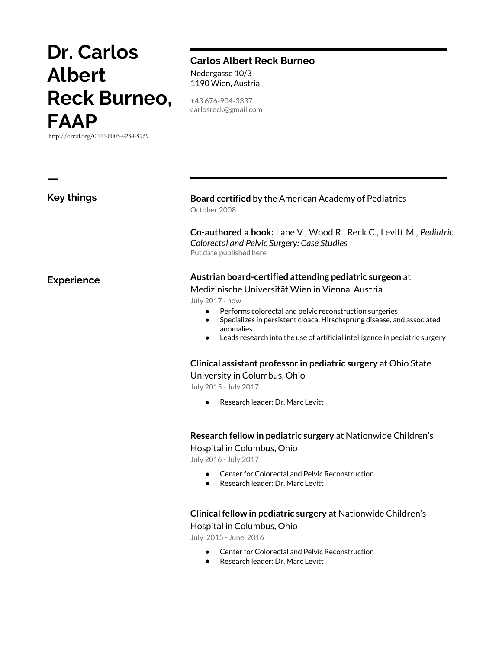# **Dr. Carlos Albert Reck Burneo, FAAP**

http://orcid.org/0000-0003-4284-8969

**Key things**

**ㅡ**

**Experience**

#### **Carlos Albert Reck Burneo** Nedergasse 10/3 1190 Wien, Austria

+43 676-904-3337 carlosreck@gmail.com

#### **Board certified** by the American Academy of Pediatrics October 2008

**Co-authored a book:** Lane V., Wood R., Reck C., Levitt M., *Pediatric Colorectal and Pelvic Surgery: Case Studies* Put date published here

#### **Austrian board-certified attending pediatric surgeon** at

#### Medizinische Universität Wien in Vienna, Austria

July 2017 - now

- Performs colorectal and pelvic reconstruction surgeries
- Specializes in persistent cloaca, Hirschsprung disease, and associated anomalies
- Leads research into the use of artificial intelligence in pediatric surgery

#### **Clinical assistant professor in pediatric surgery** at Ohio State

University in Columbus, Ohio

July 2015 - July 2017

Research leader: Dr. Marc Levitt

## **Research fellow in pediatric surgery** at Nationwide Children's

Hospital in Columbus, Ohio

July 2016 - July 2017

- Center for Colorectal and Pelvic Reconstruction
- Research leader: Dr. Marc Levitt

#### **Clinical fellow in pediatric surgery** at Nationwide Children's Hospital in Columbus, Ohio

July 2015 - June 2016

- Center for Colorectal and Pelvic Reconstruction
- Research leader: Dr. Marc Levitt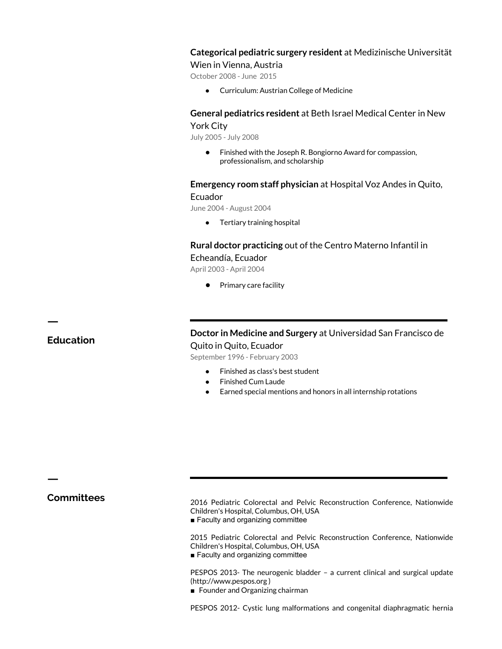#### **Categorical pediatric surgery resident** at Medizinische Universität

Wien in Vienna, Austria

October 2008 - June 2015

● Curriculum: Austrian College of Medicine

#### **General pediatrics resident** at Beth Israel Medical Center in New York City

July 2005 - July 2008

● Finished with the Joseph R. Bongiorno Award for compassion, professionalism, and scholarship

#### **Emergency room staff physician** at Hospital Voz Andes in Quito, Ecuador

June 2004 - August 2004

● Tertiary training hospital

#### **Rural doctor practicing** out of the Centro Materno Infantil in Echeandía, Ecuador

April 2003 - April 2004

● Primary care facility

### **Education**

**ㅡ**

**Doctor in Medicine and Surgery** at Universidad San Francisco de Quito in Quito, Ecuador

September 1996 - February 2003

- Finished as class's best student
- **Finished Cum Laude**
- Earned special mentions and honors in all internship rotations

**ㅡ**

**Committees** 2016 Pediatric Colorectal and Pelvic Reconstruction Conference, Nationwide Children's Hospital, Columbus, OH, USA

■ Faculty and organizing committee

2015 Pediatric Colorectal and Pelvic Reconstruction Conference, Nationwide Children's Hospital, Columbus, OH, USA

■ Faculty and organizing committee

PESPOS 2013- The neurogenic bladder – a current clinical and surgical update (http://www.pespos.org )

■ Founder and Organizing chairman

PESPOS 2012- Cystic lung malformations and congenital diaphragmatic hernia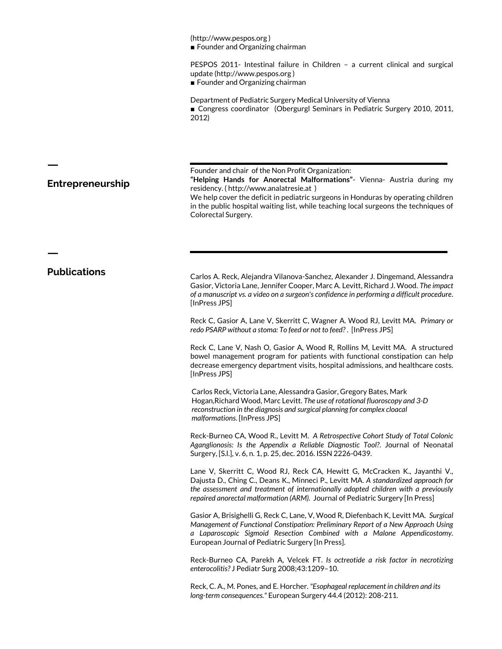(http://www.pespos.org ) ■ Founder and Organizing chairman

PESPOS 2011- Intestinal failure in Children – a current clinical and surgical update (http://www.pespos.org )

■ Founder and Organizing chairman

Department of Pediatric Surgery Medical University of Vienna ■ Congress coordinator (Obergurgl Seminars in Pediatric Surgery 2010, 2011, 2012)

Founder and chair of the Non Profit Organization:

**"Helping Hands for Anorectal Malformations"**- Vienna- Austria during my residency. ( http://www.analatresie.at )

We help cover the deficit in pediatric surgeons in Honduras by operating children in the public hospital waiting list, while teaching local surgeons the techniques of Colorectal Surgery.

**ㅡ**

**ㅡ**

**Entrepreneurship**

**Publications** Carlos A. Reck, Alejandra Vilanova-Sanchez, Alexander J. Dingemand, Alessandra Gasior, Victoria Lane, Jennifer Cooper, Marc A. Levitt, Richard J. Wood. *The impact of a manuscript vs. a video on a surgeon's confidence in performing a difficult procedure*. [InPress JPS]

> Reck C, Gasior A, Lane V, Skerritt C, Wagner A. Wood RJ, Levitt MA. *Primary or redo PSARP without a stoma: To feed or not to feed?* . [InPress JPS]

> Reck C, Lane V, Nash O, Gasior A, Wood R, Rollins M, Levitt MA. A structured bowel management program for patients with functional constipation can help decrease emergency department visits, hospital admissions, and healthcare costs. [InPress JPS]

Carlos Reck, Victoria Lane, Alessandra Gasior, Gregory Bates, Mark Hogan,Richard Wood, Marc Levitt. *The use of rotational fluoroscopy and 3-D reconstruction in the diagnosis and surgical planning for complex cloacal malformations*. [InPress JPS]

Reck-Burneo CA, Wood R., Levitt M. *A Retrospective Cohort Study of Total Colonic Aganglionosis: Is the Appendix a Reliable Diagnostic Tool?*. Journal of Neonatal Surgery, [S.l.], v. 6, n. 1, p. 25, dec. 2016. ISSN 2226-0439.

Lane V, Skerritt C, Wood RJ, Reck CA, Hewitt G, McCracken K., Jayanthi V., Dajusta D., Ching C., Deans K., Minneci P., Levitt MA. *A standardized approach for the assessment and treatment of internationally adopted children with a previously repaired anorectal malformation (ARM).* Journal of Pediatric Surgery [In Press]

Gasior A, Brisighelli G, Reck C, Lane, V, Wood R, Diefenbach K, Levitt MA. *Surgical Management of Functional Constipation: Preliminary Report of a New Approach Using a Laparoscopic Sigmoid Resection Combined with a Malone Appendicostomy.* European Journal of Pediatric Surgery [In Press].

Reck-Burneo CA, Parekh A, Velcek FT. *Is octreotide a risk factor in necrotizing enterocolitis?* J Pediatr Surg 2008;43:1209–10.

Reck, C. A., M. Pones, and E. Horcher. *"Esophageal replacement in children and its long-term consequences."* European Surgery 44.4 (2012): 208-211.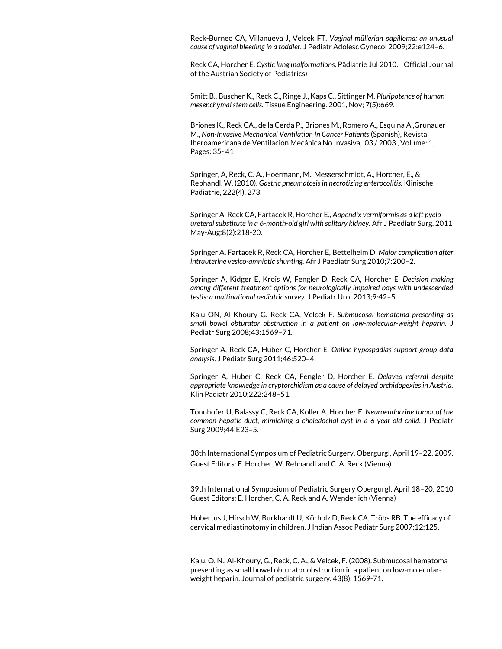Reck-Burneo CA, Villanueva J, Velcek FT. *Vaginal müllerian papilloma: an unusual cause of vaginal bleeding in a toddler.* J Pediatr Adolesc Gynecol 2009;22:e124–6.

Reck CA, Horcher E. *Cystic lung malformations*. Pädiatrie Jul 2010. Official Journal of the Austrian Society of Pediatrics)

Smitt B., Buscher K., Reck C., Ringe J., Kaps C., Sittinger M. *Pluripotence of human mesenchymal stem cells.* Tissue Engineering. 2001, Nov; 7(5):669.

Briones K., Reck CA., de la Cerda P., Briones M., Romero A., Esquina A.,Grunauer M., *Non-Invasive Mechanical Ventilation In Cancer Patients* (Spanish), Revista Iberoamericana de Ventilación Mecánica No Invasiva, 03 / 2003 , Volume: 1, Pages: 35- 41

Springer, A, Reck, C. A., Hoermann, M., Messerschmidt, A., Horcher, E., & Rebhandl, W. (2010). *Gastric pneumatosis in necrotizing enterocolitis.* Klinische Pädiatrie, 222(4), 273.

Springer A, Reck CA, Fartacek R, Horcher E., *Appendix vermiformis as a left pyeloureteral substitute in a 6-month-old girl with solitary kidney.* Afr J Paediatr Surg. 2011 May-Aug;8(2):218-20.

Springer A, Fartacek R, Reck CA, Horcher E, Bettelheim D. *Major complication after intrauterine vesico-amniotic shunting.* Afr J Paediatr Surg 2010;7:200–2.

Springer A, Kidger E, Krois W, Fengler D, Reck CA, Horcher E. *Decision making among different treatment options for neurologically impaired boys with undescended testis: a multinational pediatric survey.* J Pediatr Urol 2013;9:42–5.

Kalu ON, Al-Khoury G, Reck CA, Velcek F. *Submucosal hematoma presenting as small bowel obturator obstruction in a patient on low-molecular-weight heparin.* J Pediatr Surg 2008;43:1569–71.

Springer A, Reck CA, Huber C, Horcher E. *Online hypospadias support group data analysis.* J Pediatr Surg 2011;46:520–4.

Springer A, Huber C, Reck CA, Fengler D, Horcher E. *Delayed referral despite appropriate knowledge in cryptorchidism as a cause of delayed orchidopexies in Austria.* Klin Padiatr 2010;222:248–51.

Tonnhofer U, Balassy C, Reck CA, Koller A, Horcher E. *Neuroendocrine tumor of the common hepatic duct, mimicking a choledochal cyst in a 6-year-old child.* J Pediatr Surg 2009;44:E23–5.

38th International Symposium of Pediatric Surgery. Obergurgl, April 19–22, 2009. Guest Editors: E. Horcher, W. Rebhandl and C. A. Reck (Vienna)

39th International Symposium of Pediatric Surgery Obergurgl, April 18–20, 2010 Guest Editors: E. Horcher, C. A. Reck and A. Wenderlich (Vienna)

Hubertus J, Hirsch W, Burkhardt U, Körholz D, Reck CA, Tröbs RB. The efficacy of cervical mediastinotomy in children. J Indian Assoc Pediatr Surg 2007;12:125.

Kalu, O. N., Al-Khoury, G., Reck, C. A., & Velcek, F. (2008). Submucosal hematoma presenting as small bowel obturator obstruction in a patient on low-molecularweight heparin. Journal of pediatric surgery, 43(8), 1569-71.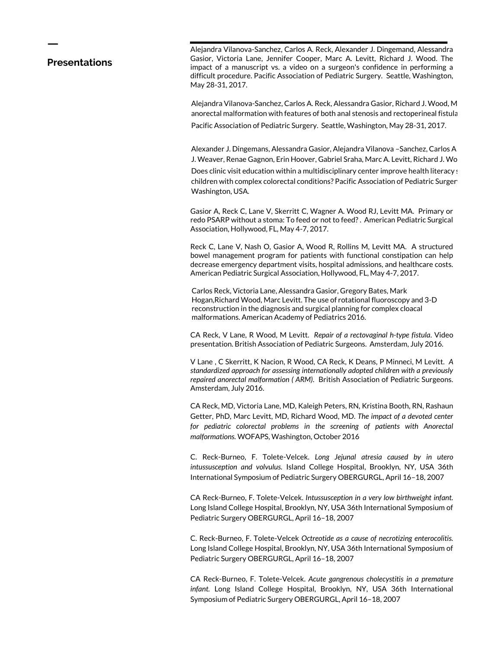#### **Presentations**

**ㅡ**

Alejandra Vilanova-Sanchez, Carlos A. Reck, Alexander J. Dingemand, Alessandra Gasior, Victoria Lane, Jennifer Cooper, Marc A. Levitt, Richard J. Wood. The impact of a manuscript vs. a video on a surgeon's confidence in performing a difficult procedure. Pacific Association of Pediatric Surgery. Seattle, Washington, May 28-31, 2017.

Alejandra Vilanova-Sanchez, Carlos A. Reck, Alessandra Gasior, Richard J. Wood, M anorectal malformation with features of both anal stenosis and rectoperineal fistula Pacific Association of Pediatric Surgery. Seattle, Washington, May 28-31, 2017.

Alexander J. Dingemans, Alessandra Gasior, Alejandra Vilanova -Sanchez, Carlos A J. Weaver, Renae Gagnon, Erin Hoover, Gabriel Sraha, Marc A. Levitt, Richard J. Wo

Does clinic visit education within a multidisciplinary center improve health literacy s children with complex colorectal conditions? Pacific Association of Pediatric Surger Washington, USA.

Gasior A, Reck C, Lane V, Skerritt C, Wagner A. Wood RJ, Levitt MA. Primary or redo PSARP without a stoma: To feed or not to feed? . American Pediatric Surgical Association, Hollywood, FL, May 4-7, 2017.

Reck C, Lane V, Nash O, Gasior A, Wood R, Rollins M, Levitt MA. A structured bowel management program for patients with functional constipation can help decrease emergency department visits, hospital admissions, and healthcare costs. American Pediatric Surgical Association, Hollywood, FL, May 4-7, 2017.

Carlos Reck, Victoria Lane, Alessandra Gasior, Gregory Bates, Mark Hogan,Richard Wood, Marc Levitt. The use of rotational fluoroscopy and 3-D reconstruction in the diagnosis and surgical planning for complex cloacal malformations. American Academy of Pediatrics 2016.

CA Reck, V Lane, R Wood, M Levitt. *Repair of a rectovaginal h-type fistula*. Video presentation. British Association of Pediatric Surgeons. Amsterdam, July 2016.

V Lane , C Skerritt, K Nacion, R Wood, CA Reck, K Deans, P Minneci, M Levitt. *A standardized approach for assessing internationally adopted children with a previously repaired anorectal malformation ( ARM)*. British Association of Pediatric Surgeons. Amsterdam, July 2016.

CA Reck, MD, Victoria Lane, MD, Kaleigh Peters, RN, Kristina Booth, RN, Rashaun Getter, PhD, Marc Levitt, MD, Richard Wood, MD. *The impact of a devoted center*  for pediatric colorectal problems in the screening of patients with Anorectal *malformations.* WOFAPS, Washington, October 2016

C. Reck-Burneo, F. Tolete-Velcek. *Long Jejunal atresia caused by in utero intussusception and volvulus.* Island College Hospital, Brooklyn, NY, USA 36th International Symposium of Pediatric Surgery OBERGURGL, April 16–18, 2007

CA Reck-Burneo, F. Tolete-Velcek. *Intussusception in a very low birthweight infant.* Long Island College Hospital, Brooklyn, NY, USA 36th International Symposium of Pediatric Surgery OBERGURGL, April 16–18, 2007

C. Reck-Burneo, F. Tolete-Velcek *Octreotide as a cause of necrotizing enterocolitis.* Long Island College Hospital, Brooklyn, NY, USA 36th International Symposium of Pediatric Surgery OBERGURGL, April 16–18, 2007

CA Reck-Burneo, F. Tolete-Velcek. *Acute gangrenous cholecystitis in a premature infant.* Long Island College Hospital, Brooklyn, NY, USA 36th International Symposium of Pediatric Surgery OBERGURGL, April 16–18, 2007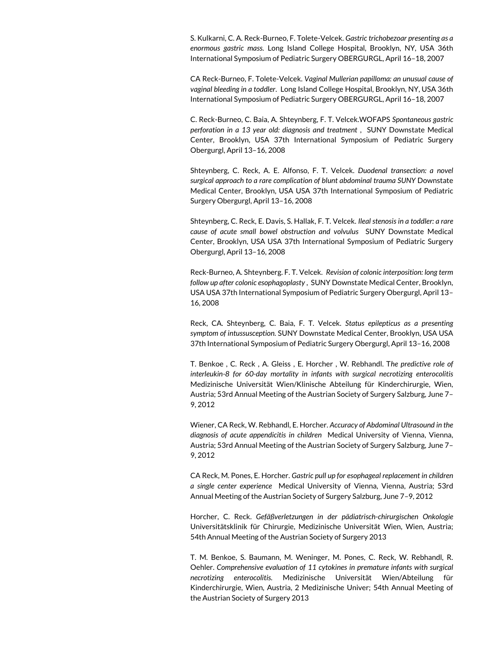S. Kulkarni, C. A. Reck-Burneo, F. Tolete-Velcek. *Gastric trichobezoar presenting as a enormous gastric mass.* Long Island College Hospital, Brooklyn, NY, USA 36th International Symposium of Pediatric Surgery OBERGURGL, April 16–18, 2007

CA Reck-Burneo, F. Tolete-Velcek. *Vaginal Mullerian papilloma: an unusual cause of vaginal bleeding in a toddler*. Long Island College Hospital, Brooklyn, NY, USA 36th International Symposium of Pediatric Surgery OBERGURGL, April 16–18, 2007

C. Reck-Burneo, C. Baia, A. Shteynberg, F. T. Velcek.WOFAPS *Spontaneous gastric perforation in a 13 year old: diagnosis and treatment* , SUNY Downstate Medical Center, Brooklyn, USA 37th International Symposium of Pediatric Surgery Obergurgl, April 13–16, 2008

Shteynberg, C. Reck, A. E. Alfonso, F. T. Velcek. *Duodenal transection: a novel surgical approach to a rare complication of blunt abdominal trauma SUNY* Downstate Medical Center, Brooklyn, USA USA 37th International Symposium of Pediatric Surgery Obergurgl, April 13–16, 2008

Shteynberg, C. Reck, E. Davis, S. Hallak, F. T. Velcek. *Ileal stenosis in a toddler: a rare cause of acute small bowel obstruction and volvulus* SUNY Downstate Medical Center, Brooklyn, USA USA 37th International Symposium of Pediatric Surgery Obergurgl, April 13–16, 2008

Reck-Burneo, A. Shteynberg. F. T. Velcek. *Revision of colonic interposition: long term follow up after colonic esophagoplasty* , SUNY Downstate Medical Center, Brooklyn, USA USA 37th International Symposium of Pediatric Surgery Obergurgl, April 13– 16, 2008

Reck, CA. Shteynberg, C. Baia, F. T. Velcek. *Status epilepticus as a presenting symptom of intussusception.* SUNY Downstate Medical Center, Brooklyn, USA USA 37th International Symposium of Pediatric Surgery Obergurgl, April 13–16, 2008

T. Benkoe , C. Reck , A. Gleiss , E. Horcher , W. Rebhandl. T*he predictive role of interleukin-8 for 60-day mortality in infants with surgical necrotizing enterocolitis* Medizinische Universität Wien/Klinische Abteilung für Kinderchirurgie, Wien, Austria; 53rd Annual Meeting of the Austrian Society of Surgery Salzburg, June 7– 9, 2012

Wiener, CA Reck, W. Rebhandl, E. Horcher. *Accuracy of Abdominal Ultrasound in the diagnosis of acute appendicitis in children* Medical University of Vienna, Vienna, Austria; 53rd Annual Meeting of the Austrian Society of Surgery Salzburg, June 7– 9, 2012

CA Reck, M. Pones, E. Horcher. *Gastric pull up for esophageal replacement in children a single center experience* Medical University of Vienna, Vienna, Austria; 53rd Annual Meeting of the Austrian Society of Surgery Salzburg, June 7–9, 2012

Horcher, C. Reck. *Gefäßverletzungen in der pädiatrisch-chirurgischen Onkologie* Universitätsklinik für Chirurgie, Medizinische Universität Wien, Wien, Austria; 54th Annual Meeting of the Austrian Society of Surgery 2013

T. M. Benkoe, S. Baumann, M. Weninger, M. Pones, C. Reck, W. Rebhandl, R. Oehler. *Comprehensive evaluation of 11 cytokines in premature infants with surgical necrotizing enterocolitis.* Medizinische Universität Wien/Abteilung für Kinderchirurgie, Wien, Austria, 2 Medizinische Univer; 54th Annual Meeting of the Austrian Society of Surgery 2013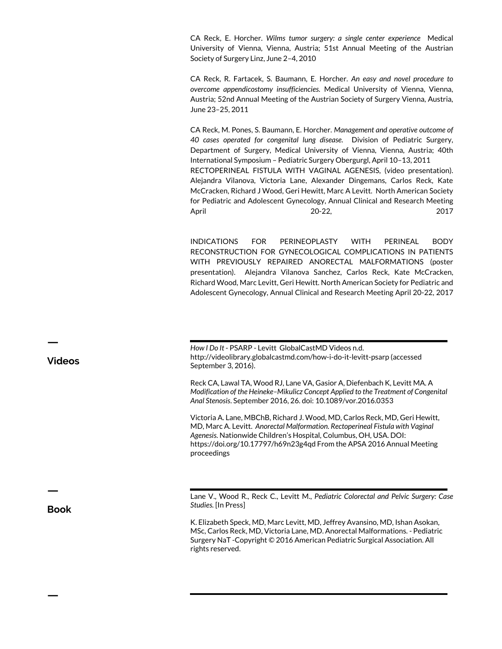CA Reck, E. Horcher. *Wilms tumor surgery: a single center experience* Medical University of Vienna, Vienna, Austria; 51st Annual Meeting of the Austrian Society of Surgery Linz, June 2–4, 2010

CA Reck, R. Fartacek, S. Baumann, E. Horcher. *An easy and novel procedure to overcome appendicostomy insufficiencies.* Medical University of Vienna, Vienna, Austria; 52nd Annual Meeting of the Austrian Society of Surgery Vienna, Austria, June 23–25, 2011

CA Reck, M. Pones, S. Baumann, E. Horcher. *Management and operative outcome of 40 cases operated for congenital lung disease.* Division of Pediatric Surgery, Department of Surgery, Medical University of Vienna, Vienna, Austria; 40th International Symposium – Pediatric Surgery Obergurgl, April 10–13, 2011 RECTOPERINEAL FISTULA WITH VAGINAL AGENESIS, (video presentation). Alejandra Vilanova, Victoria Lane, Alexander Dingemans, Carlos Reck, Kate McCracken, Richard J Wood, Geri Hewitt, Marc A Levitt. North American Society for Pediatric and Adolescent Gynecology, Annual Clinical and Research Meeting April 20-22, 2017

INDICATIONS FOR PERINEOPLASTY WITH PERINEAL BODY RECONSTRUCTION FOR GYNECOLOGICAL COMPLICATIONS IN PATIENTS WITH PREVIOUSLY REPAIRED ANORECTAL MALFORMATIONS (poster presentation). Alejandra Vilanova Sanchez, Carlos Reck, Kate McCracken, Richard Wood, Marc Levitt, Geri Hewitt. North American Society for Pediatric and Adolescent Gynecology, Annual Clinical and Research Meeting April 20-22, 2017

*How I Do It* - PSARP - Levitt GlobalCastMD Videos n.d. http://videolibrary.globalcastmd.com/how-i-do-it-levitt-psarp (accessed September 3, 2016).

Reck CA, Lawal TA, Wood RJ, Lane VA, Gasior A, Diefenbach K, Levitt MA. A *Modification of the Heineke–Mikulicz Concept Applied to the Treatment of Congenital Anal Stenosis*. September 2016, 26. doi: 10.1089/vor.2016.0353

Victoria A. Lane, MBChB, Richard J. Wood, MD, Carlos Reck, MD, Geri Hewitt, MD, Marc A. Levitt. *Anorectal Malformation. Rectoperineal Fistula with Vaginal Agenesis.* Nationwide Children's Hospital, Columbus, OH, USA. DOI: https://doi.org/10.17797/h69n23g4qd From the APSA 2016 Annual Meeting proceedings

Lane V., Wood R., Reck C., Levitt M., *Pediatric Colorectal and Pelvic Surgery: Case Studies.* [In Press]

K. Elizabeth Speck, MD, Marc Levitt, MD, Jeffrey Avansino, MD, Ishan Asokan, MSc, Carlos Reck, MD, Victoria Lane, MD. Anorectal Malformations. - Pediatric Surgery NaT -Copyright © 2016 American Pediatric Surgical Association. All rights reserved.

**Videos**

**ㅡ**

**Book**

**ㅡ**

**ㅡ**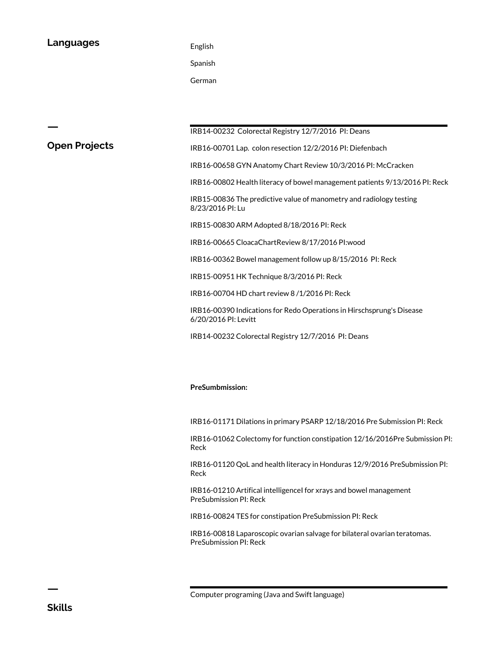#### **Languages** English

Spanish

German

**Open Projects**

**ㅡ**

IRB14-00232 Colorectal Registry 12/7/2016 PI: Deans

IRB16-00701 Lap. colon resection 12/2/2016 PI: Diefenbach

IRB16-00658 GYN Anatomy Chart Review 10/3/2016 PI: McCracken

IRB16-00802 Health literacy of bowel management patients 9/13/2016 PI: Reck

IRB15-00836 The predictive value of manometry and radiology testing 8/23/2016 PI: Lu

IRB15-00830 ARM Adopted 8/18/2016 PI: Reck

IRB16-00665 CloacaChartReview 8/17/2016 PI:wood

IRB16-00362 Bowel management follow up 8/15/2016 PI: Reck

IRB15-00951 HK Technique 8/3/2016 PI: Reck

IRB16-00704 HD chart review 8 /1/2016 PI: Reck

IRB16-00390 Indications for Redo Operations in Hirschsprung's Disease 6/20/2016 PI: Levitt

IRB14-00232 Colorectal Registry 12/7/2016 PI: Deans

#### **PreSumbmission:**

IRB16-01171 Dilations in primary PSARP 12/18/2016 Pre Submission PI: Reck

IRB16-01062 Colectomy for function constipation 12/16/2016Pre Submission PI: Reck

IRB16-01120 QoL and health literacy in Honduras 12/9/2016 PreSubmission PI: Reck

IRB16-01210 Artifical intelligencel for xrays and bowel management PreSubmission PI: Reck

IRB16-00824 TES for constipation PreSubmission PI: Reck

IRB16-00818 Laparoscopic ovarian salvage for bilateral ovarian teratomas. PreSubmission PI: Reck

**ㅡ**